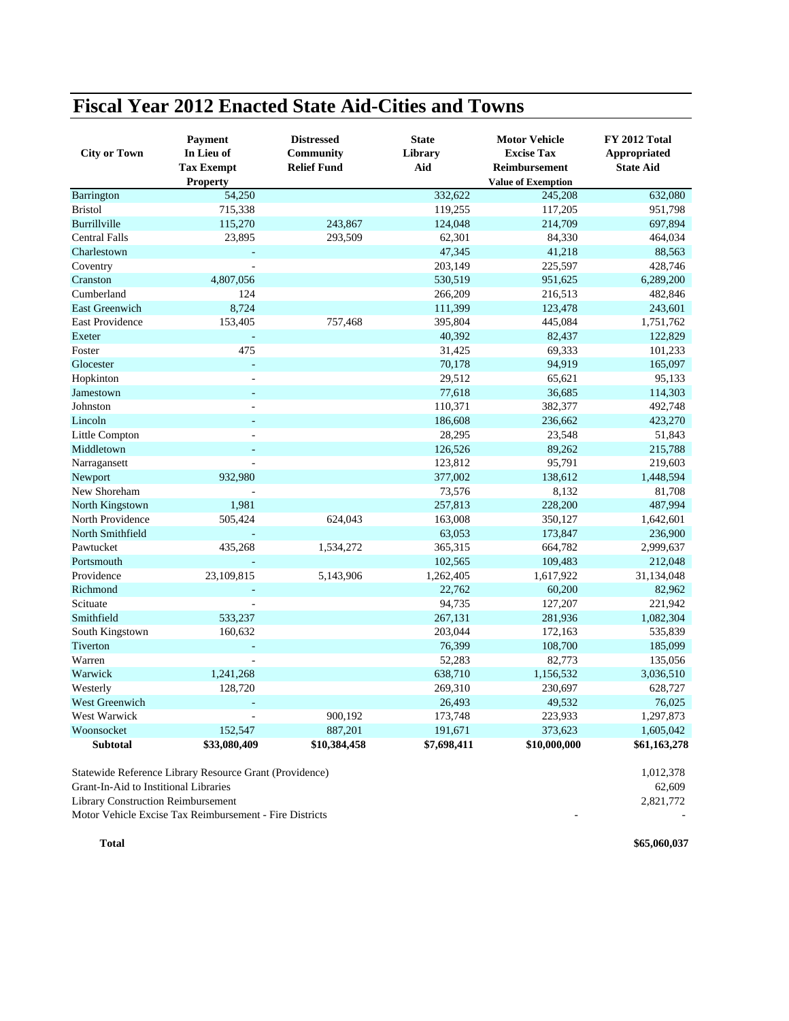## **Fiscal Year 2012 Enacted State Aid-Cities and Towns**

| <b>City or Town</b>   | <b>Payment</b><br>In Lieu of<br><b>Tax Exempt</b><br><b>Property</b> | <b>Distressed</b><br><b>Community</b><br><b>Relief Fund</b> | <b>State</b><br>Library<br>Aid | <b>Motor Vehicle</b><br><b>Excise Tax</b><br><b>Reimbursement</b><br><b>Value of Exemption</b> | FY 2012 Total<br>Appropriated<br><b>State Aid</b> |
|-----------------------|----------------------------------------------------------------------|-------------------------------------------------------------|--------------------------------|------------------------------------------------------------------------------------------------|---------------------------------------------------|
| Barrington            | 54,250                                                               |                                                             | 332,622                        | 245,208                                                                                        | 632,080                                           |
| <b>Bristol</b>        | 715,338                                                              |                                                             | 119,255                        | 117,205                                                                                        | 951,798                                           |
| Burrillville          | 115,270                                                              | 243,867                                                     | 124,048                        | 214,709                                                                                        | 697,894                                           |
| <b>Central Falls</b>  | 23,895                                                               | 293,509                                                     | 62,301                         | 84,330                                                                                         | 464,034                                           |
| Charlestown           |                                                                      |                                                             | 47,345                         | 41,218                                                                                         | 88,563                                            |
| Coventry              | $\overline{a}$                                                       |                                                             | 203,149                        | 225,597                                                                                        | 428,746                                           |
| Cranston              | 4,807,056                                                            |                                                             | 530,519                        | 951,625                                                                                        | 6,289,200                                         |
| Cumberland            | 124                                                                  |                                                             | 266,209                        | 216,513                                                                                        | 482,846                                           |
| <b>East Greenwich</b> | 8,724                                                                |                                                             | 111,399                        | 123,478                                                                                        | 243,601                                           |
| East Providence       | 153,405                                                              | 757,468                                                     | 395,804                        | 445,084                                                                                        | 1,751,762                                         |
| Exeter                | ÷,                                                                   |                                                             | 40,392                         | 82,437                                                                                         | 122,829                                           |
| Foster                | 475                                                                  |                                                             | 31,425                         | 69,333                                                                                         | 101,233                                           |
| Glocester             | L,                                                                   |                                                             | 70,178                         | 94,919                                                                                         | 165,097                                           |
| Hopkinton             | L.                                                                   |                                                             | 29,512                         | 65,621                                                                                         | 95,133                                            |
| Jamestown             | ÷.                                                                   |                                                             | 77,618                         | 36,685                                                                                         | 114,303                                           |
| Johnston              | $\overline{\phantom{a}}$                                             |                                                             | 110,371                        | 382,377                                                                                        | 492,748                                           |
| Lincoln               |                                                                      |                                                             | 186,608                        | 236,662                                                                                        | 423,270                                           |
| Little Compton        |                                                                      |                                                             | 28,295                         | 23,548                                                                                         | 51,843                                            |
| Middletown            | $\equiv$                                                             |                                                             | 126,526                        | 89,262                                                                                         | 215,788                                           |
| Narragansett          | $\overline{a}$                                                       |                                                             | 123,812                        | 95,791                                                                                         | 219,603                                           |
| Newport               | 932,980                                                              |                                                             | 377,002                        | 138,612                                                                                        | 1,448,594                                         |
| New Shoreham          |                                                                      |                                                             | 73,576                         | 8,132                                                                                          | 81,708                                            |
| North Kingstown       | 1,981                                                                |                                                             | 257,813                        | 228,200                                                                                        | 487,994                                           |
| North Providence      | 505,424                                                              | 624,043                                                     | 163,008                        | 350,127                                                                                        | 1,642,601                                         |
| North Smithfield      |                                                                      |                                                             | 63,053                         | 173,847                                                                                        | 236,900                                           |
| Pawtucket             | 435,268                                                              | 1,534,272                                                   | 365,315                        | 664,782                                                                                        | 2,999,637                                         |
| Portsmouth            |                                                                      |                                                             | 102,565                        | 109,483                                                                                        | 212,048                                           |
| Providence            | 23,109,815                                                           | 5,143,906                                                   | 1,262,405                      | 1,617,922                                                                                      | 31,134,048                                        |
| Richmond              | ä,                                                                   |                                                             | 22,762                         | 60,200                                                                                         | 82,962                                            |
| Scituate              |                                                                      |                                                             | 94,735                         | 127,207                                                                                        | 221,942                                           |
| Smithfield            | 533,237                                                              |                                                             | 267,131                        | 281,936                                                                                        | 1,082,304                                         |
| South Kingstown       | 160,632                                                              |                                                             | 203,044                        | 172,163                                                                                        | 535,839                                           |
| Tiverton              |                                                                      |                                                             | 76,399                         | 108,700                                                                                        | 185,099                                           |
| Warren                |                                                                      |                                                             | 52,283                         | 82,773                                                                                         | 135,056                                           |
| Warwick               | 1,241,268                                                            |                                                             | 638,710                        | 1,156,532                                                                                      | 3,036,510                                         |
| Westerly              | 128,720                                                              |                                                             | 269,310                        | 230,697                                                                                        | 628,727                                           |
| West Greenwich        | ä,                                                                   |                                                             | 26,493                         | 49,532                                                                                         | 76,025                                            |
| West Warwick          | $\overline{a}$                                                       | 900,192                                                     | 173,748                        | 223,933                                                                                        | 1,297,873                                         |
| Woonsocket            | 152,547                                                              | 887,201                                                     | 191,671                        | 373,623                                                                                        | 1,605,042                                         |
| <b>Subtotal</b>       | \$33,080,409                                                         | \$10,384,458                                                | \$7,698,411                    | \$10,000,000                                                                                   | \$61,163,278                                      |

Statewide Reference Library Resource Grant (Providence) 1,012,378 Grant-In-Aid to Institional Libraries 62,609 Library Construction Reimbursement 2,821,772

Motor Vehicle Excise Tax Reimbursement - Fire Districts - -

**Total \$65,060,037**